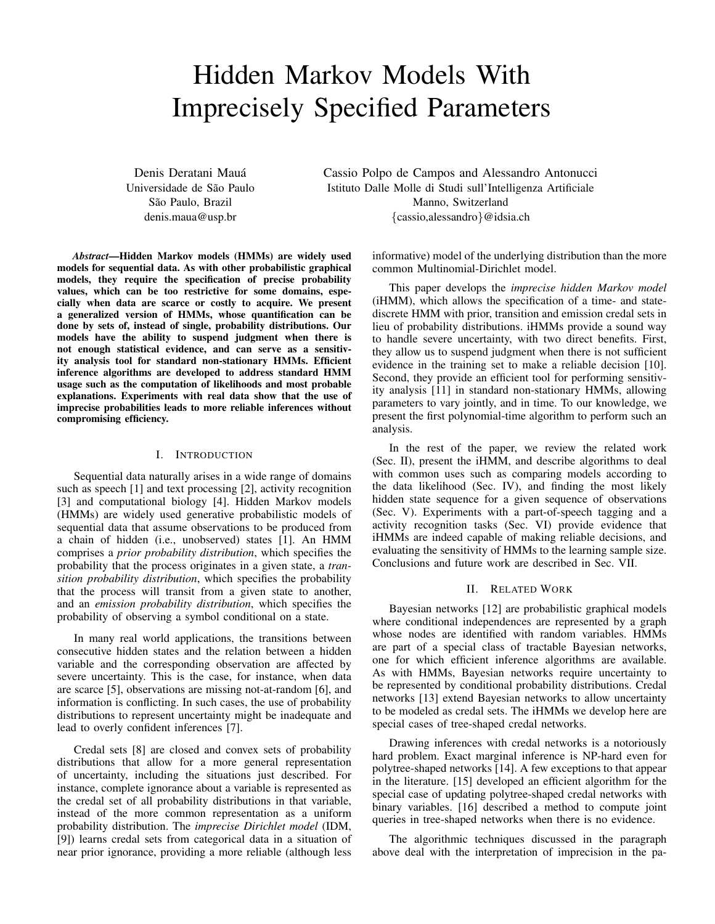# Hidden Markov Models With Imprecisely Specified Parameters

Denis Deratani Mauá Universidade de São Paulo São Paulo, Brazil denis.maua@usp.br

Cassio Polpo de Campos and Alessandro Antonucci Istituto Dalle Molle di Studi sull'Intelligenza Artificiale Manno, Switzerland {cassio,alessandro}@idsia.ch

*Abstract*—Hidden Markov models (HMMs) are widely used models for sequential data. As with other probabilistic graphical models, they require the specification of precise probability values, which can be too restrictive for some domains, especially when data are scarce or costly to acquire. We present a generalized version of HMMs, whose quantification can be done by sets of, instead of single, probability distributions. Our models have the ability to suspend judgment when there is not enough statistical evidence, and can serve as a sensitivity analysis tool for standard non-stationary HMMs. Efficient inference algorithms are developed to address standard HMM usage such as the computation of likelihoods and most probable explanations. Experiments with real data show that the use of imprecise probabilities leads to more reliable inferences without compromising efficiency.

# I. INTRODUCTION

Sequential data naturally arises in a wide range of domains such as speech [1] and text processing [2], activity recognition [3] and computational biology [4]. Hidden Markov models (HMMs) are widely used generative probabilistic models of sequential data that assume observations to be produced from a chain of hidden (i.e., unobserved) states [1]. An HMM comprises a *prior probability distribution*, which specifies the probability that the process originates in a given state, a *transition probability distribution*, which specifies the probability that the process will transit from a given state to another, and an *emission probability distribution*, which specifies the probability of observing a symbol conditional on a state.

In many real world applications, the transitions between consecutive hidden states and the relation between a hidden variable and the corresponding observation are affected by severe uncertainty. This is the case, for instance, when data are scarce [5], observations are missing not-at-random [6], and information is conflicting. In such cases, the use of probability distributions to represent uncertainty might be inadequate and lead to overly confident inferences [7].

Credal sets [8] are closed and convex sets of probability distributions that allow for a more general representation of uncertainty, including the situations just described. For instance, complete ignorance about a variable is represented as the credal set of all probability distributions in that variable, instead of the more common representation as a uniform probability distribution. The *imprecise Dirichlet model* (IDM, [9]) learns credal sets from categorical data in a situation of near prior ignorance, providing a more reliable (although less informative) model of the underlying distribution than the more common Multinomial-Dirichlet model.

This paper develops the *imprecise hidden Markov model* (iHMM), which allows the specification of a time- and statediscrete HMM with prior, transition and emission credal sets in lieu of probability distributions. iHMMs provide a sound way to handle severe uncertainty, with two direct benefits. First, they allow us to suspend judgment when there is not sufficient evidence in the training set to make a reliable decision [10]. Second, they provide an efficient tool for performing sensitivity analysis [11] in standard non-stationary HMMs, allowing parameters to vary jointly, and in time. To our knowledge, we present the first polynomial-time algorithm to perform such an analysis.

In the rest of the paper, we review the related work (Sec. II), present the iHMM, and describe algorithms to deal with common uses such as comparing models according to the data likelihood (Sec. IV), and finding the most likely hidden state sequence for a given sequence of observations (Sec. V). Experiments with a part-of-speech tagging and a activity recognition tasks (Sec. VI) provide evidence that iHMMs are indeed capable of making reliable decisions, and evaluating the sensitivity of HMMs to the learning sample size. Conclusions and future work are described in Sec. VII.

# II. RELATED WORK

Bayesian networks [12] are probabilistic graphical models where conditional independences are represented by a graph whose nodes are identified with random variables. HMMs are part of a special class of tractable Bayesian networks, one for which efficient inference algorithms are available. As with HMMs, Bayesian networks require uncertainty to be represented by conditional probability distributions. Credal networks [13] extend Bayesian networks to allow uncertainty to be modeled as credal sets. The iHMMs we develop here are special cases of tree-shaped credal networks.

Drawing inferences with credal networks is a notoriously hard problem. Exact marginal inference is NP-hard even for polytree-shaped networks [14]. A few exceptions to that appear in the literature. [15] developed an efficient algorithm for the special case of updating polytree-shaped credal networks with binary variables. [16] described a method to compute joint queries in tree-shaped networks when there is no evidence.

The algorithmic techniques discussed in the paragraph above deal with the interpretation of imprecision in the pa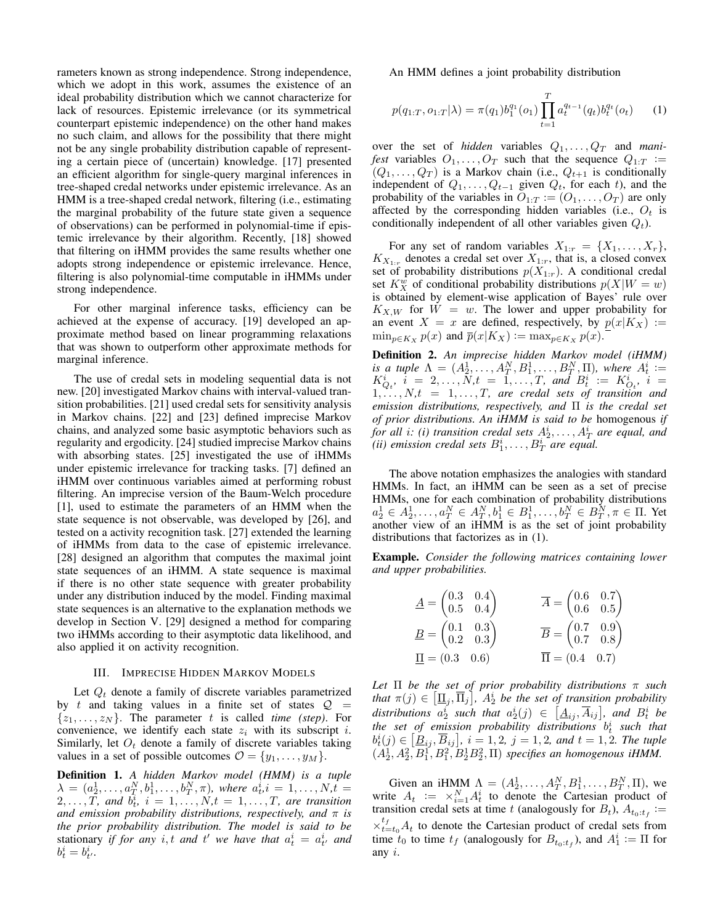rameters known as strong independence. Strong independence, which we adopt in this work, assumes the existence of an ideal probability distribution which we cannot characterize for lack of resources. Epistemic irrelevance (or its symmetrical counterpart epistemic independence) on the other hand makes no such claim, and allows for the possibility that there might not be any single probability distribution capable of representing a certain piece of (uncertain) knowledge. [17] presented an efficient algorithm for single-query marginal inferences in tree-shaped credal networks under epistemic irrelevance. As an HMM is a tree-shaped credal network, filtering (i.e., estimating the marginal probability of the future state given a sequence of observations) can be performed in polynomial-time if epistemic irrelevance by their algorithm. Recently, [18] showed that filtering on iHMM provides the same results whether one adopts strong independence or epistemic irrelevance. Hence, filtering is also polynomial-time computable in iHMMs under strong independence.

For other marginal inference tasks, efficiency can be achieved at the expense of accuracy. [19] developed an approximate method based on linear programming relaxations that was shown to outperform other approximate methods for marginal inference.

The use of credal sets in modeling sequential data is not new. [20] investigated Markov chains with interval-valued transition probabilities. [21] used credal sets for sensitivity analysis in Markov chains. [22] and [23] defined imprecise Markov chains, and analyzed some basic asymptotic behaviors such as regularity and ergodicity. [24] studied imprecise Markov chains with absorbing states. [25] investigated the use of iHMMs under epistemic irrelevance for tracking tasks. [7] defined an iHMM over continuous variables aimed at performing robust filtering. An imprecise version of the Baum-Welch procedure [1], used to estimate the parameters of an HMM when the state sequence is not observable, was developed by [26], and tested on a activity recognition task. [27] extended the learning of iHMMs from data to the case of epistemic irrelevance. [28] designed an algorithm that computes the maximal joint state sequences of an iHMM. A state sequence is maximal if there is no other state sequence with greater probability under any distribution induced by the model. Finding maximal state sequences is an alternative to the explanation methods we develop in Section V. [29] designed a method for comparing two iHMMs according to their asymptotic data likelihood, and also applied it on activity recognition.

## III. IMPRECISE HIDDEN MARKOV MODELS

Let  $Q_t$  denote a family of discrete variables parametrized by t and taking values in a finite set of states  $Q =$  $\{z_1, \ldots, z_N\}$ . The parameter t is called *time (step)*. For convenience, we identify each state  $z_i$  with its subscript i. Similarly, let  $O_t$  denote a family of discrete variables taking values in a set of possible outcomes  $\mathcal{O} = \{y_1, \ldots, y_M\}.$ 

Definition 1. *A hidden Markov model (HMM) is a tuple*  $\lambda = (a_2^1, \ldots, a_T^N, b_1^1, \ldots, b_T^N, \pi)$ , where  $a_t^i$ ,  $i = 1, \ldots, N$ ,  $t =$  $(2,\ldots,T)$ , and  $b_t^i$ ,  $i=1,\ldots,N$ ,  $t=1,\ldots,T$ , are transition *and emission probability distributions, respectively, and* π *is the prior probability distribution. The model is said to be* stationary *if for any i,t and t'* we have that  $a_t^i = a_{t'}^i$  and  $b_t^i = b_{t'}^i$ .

An HMM defines a joint probability distribution

$$
p(q_{1:T}, o_{1:T}|\lambda) = \pi(q_1)b_1^{q_1}(o_1) \prod_{t=1}^T a_t^{q_{t-1}}(q_t)b_t^{q_t}(o_t)
$$
 (1)

over the set of *hidden* variables  $Q_1, \ldots, Q_T$  and *manifest* variables  $O_1, \ldots, O_T$  such that the sequence  $Q_{1:T}$  :=  $(Q_1, \ldots, Q_T)$  is a Markov chain (i.e.,  $Q_{t+1}$  is conditionally independent of  $Q_1, \ldots, Q_{t-1}$  given  $Q_t$ , for each t), and the probability of the variables in  $O_{1:T} := (O_1, \ldots, O_T)$  are only affected by the corresponding hidden variables (i.e.,  $O_t$  is conditionally independent of all other variables given  $Q_t$ ).

For any set of random variables  $X_{1:r} = \{X_1, \ldots, X_r\},\$  $K_{X_{1:r}}$  denotes a credal set over  $X_{1:r}$ , that is, a closed convex set of probability distributions  $p(X_{1:r})$ . A conditional credal set  $K_X^w$  of conditional probability distributions  $p(X|W = w)$ is obtained by element-wise application of Bayes' rule over  $K_{X,W}$  for  $W = w$ . The lower and upper probability for an event  $X = x$  are defined, respectively, by  $p(x|K_X) :=$  $\min_{p \in K_X} p(x)$  and  $\overline{p}(x|K_X) := \max_{p \in K_X} p(x)$ .

Definition 2. *An imprecise hidden Markov model (iHMM) is a tuple*  $\Lambda = (A_2^1, \ldots, A_T^N, B_1^1, \ldots, B_T^N, \Pi)$ , where  $A_t^i :=$  $K_{Q_t}^i$ ,  $i = 2, ..., N_t = 1, ..., T$ , and  $B_t^i := K_{Q_t}^i$ ,  $i =$  $1, \ldots, N, t = 1, \ldots, T$ , are credal sets of transition and *emission distributions, respectively, and* Π *is the credal set of prior distributions. An iHMM is said to be* homogenous *if for all i: (i) transition credal sets*  $A_2^i, \ldots, A_T^i$  are equal, and (*ii*) emission credal sets  $B_1^i, \ldots, B_T^i$  are equal.

The above notation emphasizes the analogies with standard HMMs. In fact, an iHMM can be seen as a set of precise HMMs, one for each combination of probability distributions  $a_2^1 \in A_2^1, \ldots, a_T^N \in A_T^N, b_1^1 \in B_1^1, \ldots, b_T^N \in B_T^N, \pi \in \Pi$ . Yet another view of an iHMM is as the set of joint probability distributions that factorizes as in (1).

Example. *Consider the following matrices containing lower and upper probabilities.*

$$
\underline{A} = \begin{pmatrix} 0.3 & 0.4 \\ 0.5 & 0.4 \end{pmatrix} \qquad \qquad \overline{A} = \begin{pmatrix} 0.6 & 0.7 \\ 0.6 & 0.5 \end{pmatrix}
$$

$$
\underline{B} = \begin{pmatrix} 0.1 & 0.3 \\ 0.2 & 0.3 \end{pmatrix} \qquad \qquad \overline{B} = \begin{pmatrix} 0.7 & 0.9 \\ 0.7 & 0.8 \end{pmatrix}
$$

$$
\underline{\Pi} = (0.3 \quad 0.6) \qquad \qquad \overline{\Pi} = (0.4 \quad 0.7)
$$

*Let* Π *be the set of prior probability distributions* π *such* that  $\pi(j) \in \left[ \underline{\Pi}_j, \overline{\Pi}_j \right]$ ,  $A_2^i$  *be the set of transition probability* distributions  $a_2^i$  such that  $a_2^i(j) \in \left[ \underline{A}_{ij}, \overline{A}_{ij} \right]$ , and  $B_t^i$  be *the set of emission probability distributions* b i t *such that*  $b_t^i(j) \in \left[ \underline{B}_{ij}, \overline{B}_{ij} \right]$ ,  $i = 1, 2, j = 1, 2$ , and  $t = 1, 2$ . The tuple  $(A_2^1, A_2^2, B_1^1, B_1^2, B_2^1, B_2^2, \Pi)$  specifies an homogenous iHMM.

Given an iHMM  $\Lambda = (A_2^1, \ldots, A_T^N, B_1^1, \ldots, B_T^N, \Pi)$ , we write  $A_t := \times_{i=1}^N A_t^i$  to denote the Cartesian product of transition credal sets at time t (analogously for  $B_t$ ),  $A_{t_0:t_f} :=$  $\times_{t=t_0}^{t_f} A_t$  to denote the Cartesian product of credal sets from time  $t_0$  to time  $t_f$  (analogously for  $B_{t_0:t_f}$ ), and  $A_1^i := \Pi$  for any i.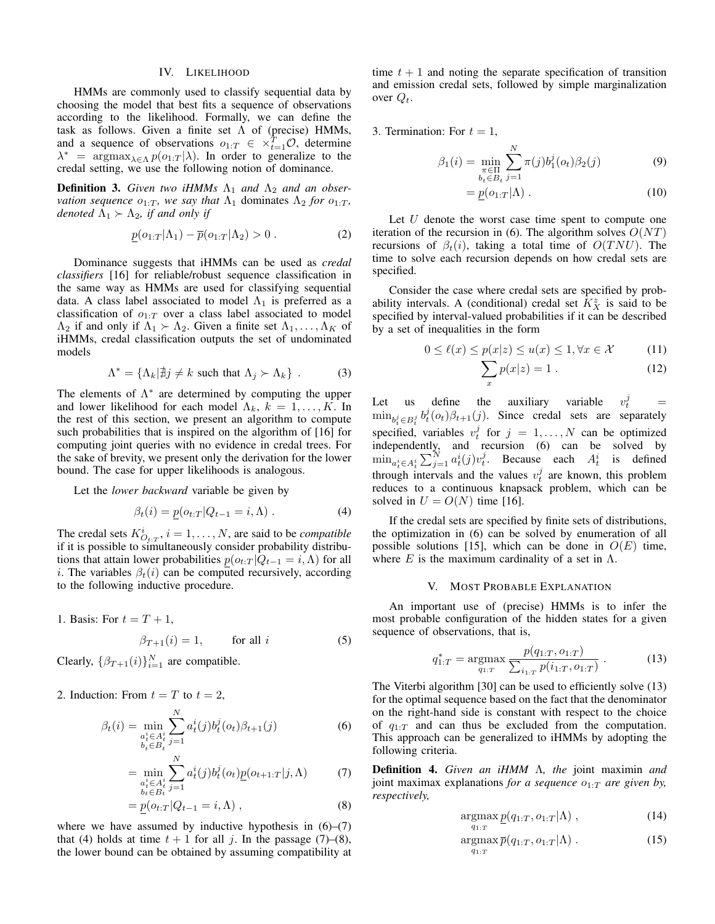# IV. LIKELIHOOD

HMMs are commonly used to classify sequential data by choosing the model that best fits a sequence of observations according to the likelihood. Formally, we can define the task as follows. Given a finite set  $\Lambda$  of (precise) HMMs, and a sequence of observations  $o_{1:T} \in \times_{t=1}^{T} \mathcal{O}$ , determine  $\lambda^*$  = argmax<sub> $\lambda \in \Lambda$ </sub>  $p(o_{1:T}|\lambda)$ . In order to generalize to the credal setting, we use the following notion of dominance.

**Definition 3.** Given two iHMMs  $\Lambda_1$  and  $\Lambda_2$  and an obser*vation sequence*  $o_{1:T}$ *, we say that*  $\Lambda_1$  dominates  $\Lambda_2$  *for*  $o_{1:T}$ *, denoted*  $\Lambda_1 \succ \Lambda_2$ *, if and only if* 

$$
\underline{p}(o_{1:T}|\Lambda_1) - \overline{p}(o_{1:T}|\Lambda_2) > 0.
$$
 (2)

Dominance suggests that iHMMs can be used as *credal classifiers* [16] for reliable/robust sequence classification in the same way as HMMs are used for classifying sequential data. A class label associated to model  $\Lambda_1$  is preferred as a classification of  $o_{1:T}$  over a class label associated to model  $\Lambda_2$  if and only if  $\Lambda_1 \succ \Lambda_2$ . Given a finite set  $\Lambda_1, \ldots, \Lambda_K$  of iHMMs, credal classification outputs the set of undominated models

$$
\Lambda^* = \{ \Lambda_k | \nexists j \neq k \text{ such that } \Lambda_j \succ \Lambda_k \} .
$$
 (3)

The elements of  $\Lambda^*$  are determined by computing the upper and lower likelihood for each model  $\Lambda_k$ ,  $k = 1, \ldots, K$ . In the rest of this section, we present an algorithm to compute such probabilities that is inspired on the algorithm of [16] for computing joint queries with no evidence in credal trees. For the sake of brevity, we present only the derivation for the lower bound. The case for upper likelihoods is analogous.

Let the *lower backward* variable be given by

$$
\beta_t(i) = p(o_{t:T} | Q_{t-1} = i, \Lambda). \tag{4}
$$

The credal sets  $K^i_{O_t,x}$ ,  $i = 1, ..., N$ , are said to be *compatible* if it is possible to simultaneously consider probability distributions that attain lower probabilities  $p(o_{t:T} | Q_{t-1} = i, \Lambda)$  for all i. The variables  $\beta_t(i)$  can be computed recursively, according to the following inductive procedure.

1. Basis: For  $t = T + 1$ ,

$$
\beta_{T+1}(i) = 1, \qquad \text{for all } i \tag{5}
$$

Clearly,  $\{\beta_{T+1}(i)\}_{i=1}^N$  are compatible.

2. Induction: From  $t = T$  to  $t = 2$ ,

$$
\beta_t(i) = \min_{\substack{a_t^i \in A_t^i \\ b_t \in B_t}} \sum_{j=1}^N a_t^i(j) b_t^j(o_t) \beta_{t+1}(j) \tag{6}
$$

$$
= \min_{\substack{a_t^i \in A_t^i \\ b_t \in B_t}} \sum_{j=1}^N a_t^i(j) b_t^j(o_t) \underline{p}(o_{t+1:T}|j, \Lambda) \tag{7}
$$

$$
= \underline{p}(o_{t:T}|Q_{t-1} = i, \Lambda) , \qquad (8)
$$

where we have assumed by inductive hypothesis in  $(6)$ – $(7)$ that (4) holds at time  $t + 1$  for all j. In the passage (7)–(8), the lower bound can be obtained by assuming compatibility at time  $t + 1$  and noting the separate specification of transition and emission credal sets, followed by simple marginalization over  $Q_t$ .

3. Termination: For  $t = 1$ ,

$$
\beta_1(i) = \min_{\substack{\pi \in \Pi \\ b_t \in B_t}} \sum_{j=1}^N \pi(j) b_1^j(o_t) \beta_2(j) \tag{9}
$$

$$
= \underline{p}(o_{1:T}|\Lambda) . \tag{10}
$$

Let  $U$  denote the worst case time spent to compute one iteration of the recursion in (6). The algorithm solves  $O(NT)$ recursions of  $\beta_t(i)$ , taking a total time of  $O(TNU)$ . The time to solve each recursion depends on how credal sets are specified.

Consider the case where credal sets are specified by probability intervals. A (conditional) credal set  $K_X^z$  is said to be specified by interval-valued probabilities if it can be described by a set of inequalities in the form

$$
0 \le \ell(x) \le p(x|z) \le u(x) \le 1, \forall x \in \mathcal{X} \tag{11}
$$

$$
\sum_{x} p(x|z) = 1.
$$
 (12)

Let us define the auxiliary variable j  $\frac{J}{t}$  =  $\min_{b_t^j \in B_t^j} b_t^j(o_t) \beta_{t+1}(j)$ . Since credal sets are separately specified, variables  $v_t^j$  for  $j = 1, ..., N$  can be optimized independently, and recursion (6) can be solved by  $\min_{a_t^i \in A_t^i} \sum_{j=1}^N a_t^i(j)v_t^j$ . Because each  $A_t^i$  is defined through intervals and the values  $v_t^j$  are known, this problem reduces to a continuous knapsack problem, which can be solved in  $U = O(N)$  time [16].

If the credal sets are specified by finite sets of distributions, the optimization in (6) can be solved by enumeration of all possible solutions [15], which can be done in  $O(E)$  time, where E is the maximum cardinality of a set in  $\Lambda$ .

#### V. MOST PROBABLE EXPLANATION

An important use of (precise) HMMs is to infer the most probable configuration of the hidden states for a given sequence of observations, that is,

$$
q_{1:T}^* = \underset{q_{1:T}}{\text{argmax}} \frac{p(q_{1:T}, o_{1:T})}{\sum_{i_{1:T}} p(i_{1:T}, o_{1:T})} \,. \tag{13}
$$

The Viterbi algorithm [30] can be used to efficiently solve (13) for the optimal sequence based on the fact that the denominator on the right-hand side is constant with respect to the choice of  $q_{1:T}$  and can thus be excluded from the computation. This approach can be generalized to iHMMs by adopting the following criteria.

Definition 4. *Given an iHMM* Λ*, the* joint maximin *and* joint maximax explanations *for a sequence*  $o_{1:T}$  *are given by, respectively,*

$$
\underset{q_{1:T}}{\operatorname{argmax}} \underline{p}(q_{1:T}, o_{1:T}|\Lambda) , \qquad (14)
$$

$$
\underset{q_{1:T}}{\operatorname{argmax}} \overline{p}(q_{1:T}, o_{1:T}|\Lambda) . \tag{15}
$$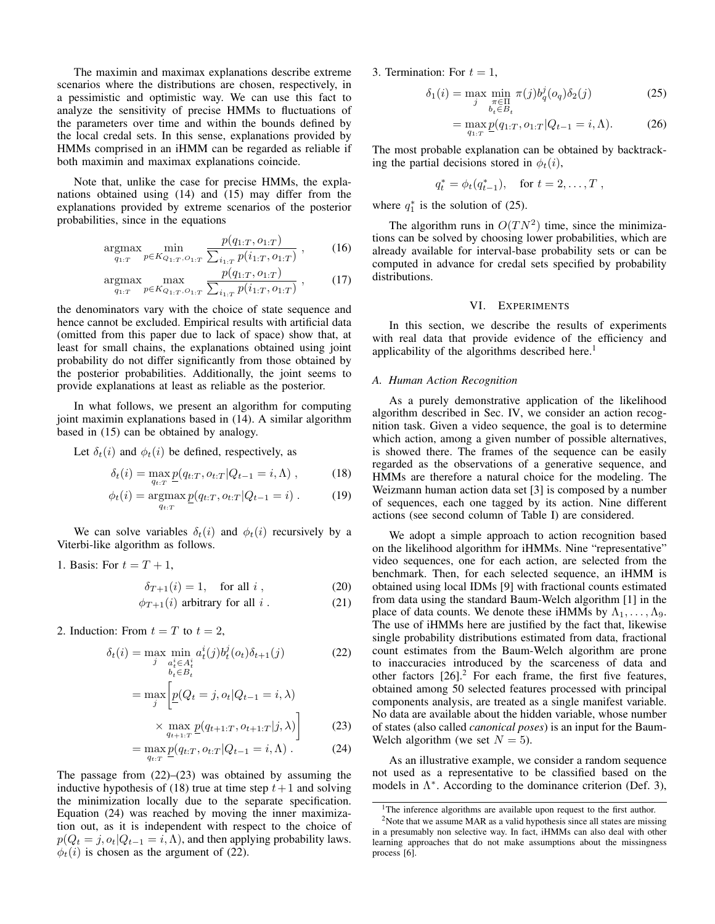The maximin and maximax explanations describe extreme scenarios where the distributions are chosen, respectively, in a pessimistic and optimistic way. We can use this fact to analyze the sensitivity of precise HMMs to fluctuations of the parameters over time and within the bounds defined by the local credal sets. In this sense, explanations provided by HMMs comprised in an iHMM can be regarded as reliable if both maximin and maximax explanations coincide.

Note that, unlike the case for precise HMMs, the explanations obtained using (14) and (15) may differ from the explanations provided by extreme scenarios of the posterior probabilities, since in the equations

$$
\underset{q_{1:T}}{\text{argmax}} \min_{p \in K_{Q_{1:T}, O_{1:T}}} \frac{p(q_{1:T}, o_{1:T})}{\sum_{i_{1:T}} p(i_{1:T}, o_{1:T})}, \qquad (16)
$$

$$
\underset{q_{1:T}}{\text{argmax}} \max_{p \in K_{Q_{1:T}, O_{1:T}}} \frac{p(q_{1:T}, o_{1:T})}{\sum_{i_{1:T}} p(i_{1:T}, o_{1:T})}, \qquad (17)
$$

the denominators vary with the choice of state sequence and hence cannot be excluded. Empirical results with artificial data (omitted from this paper due to lack of space) show that, at least for small chains, the explanations obtained using joint probability do not differ significantly from those obtained by the posterior probabilities. Additionally, the joint seems to provide explanations at least as reliable as the posterior.

In what follows, we present an algorithm for computing joint maximin explanations based in (14). A similar algorithm based in (15) can be obtained by analogy.

Let  $\delta_t(i)$  and  $\phi_t(i)$  be defined, respectively, as

$$
\delta_t(i) = \max_{q_{t:T}} \underline{p}(q_{t:T}, o_{t:T} | Q_{t-1} = i, \Lambda), \qquad (18)
$$

$$
\phi_t(i) = \underset{q_{t:T}}{\text{argmax}} \, \underline{p}(q_{t:T}, o_{t:T}|Q_{t-1} = i) \,.
$$
 (19)

We can solve variables  $\delta_t(i)$  and  $\phi_t(i)$  recursively by a Viterbi-like algorithm as follows.

1. Basis: For  $t = T + 1$ ,

$$
\delta_{T+1}(i) = 1, \quad \text{for all } i \tag{20}
$$

$$
\phi_{T+1}(i) \text{ arbitrary for all } i. \tag{21}
$$

2. Induction: From  $t = T$  to  $t = 2$ ,

$$
\delta_t(i) = \max_{j} \min_{\substack{a_t^i \in A_t^i \\ b_t \in B_t}} a_t^i(j) b_t^j(o_t) \delta_{t+1}(j)
$$
(22)  

$$
= \max_{j} \left[ \underline{p}(Q_t = j, o_t | Q_{t-1} = i, \lambda) \times \max_{q_{t+1}:T} \underline{p}(q_{t+1:T}, o_{t+1:T} | j, \lambda) \right]
$$
(23)

$$
= \max_{q_{t:T}} \underline{p}(q_{t:T}, o_{t:T} | Q_{t-1} = i, \Lambda) . \tag{24}
$$

The passage from  $(22)$ – $(23)$  was obtained by assuming the inductive hypothesis of (18) true at time step  $t+1$  and solving the minimization locally due to the separate specification. Equation (24) was reached by moving the inner maximization out, as it is independent with respect to the choice of  $p(Q_t = j, o_t | Q_{t-1} = i, \Lambda)$ , and then applying probability laws.  $\phi_t(i)$  is chosen as the argument of (22).

3. Termination: For  $t = 1$ ,

$$
\delta_1(i) = \max_{j} \min_{\substack{\pi \in \Pi \\ b_t \in B_t}} \pi(j) b_q^j(o_q) \delta_2(j)
$$
 (25)

$$
= \max_{q_1, r} \underline{p}(q_{1:T}, o_{1:T} | Q_{t-1} = i, \Lambda).
$$
 (26)

The most probable explanation can be obtained by backtracking the partial decisions stored in  $\phi_t(i)$ ,

$$
q_t^* = \phi_t(q_{t-1}^*), \text{ for } t = 2, ..., T
$$
,

where  $q_1^*$  is the solution of (25).

The algorithm runs in  $O(TN^2)$  time, since the minimizations can be solved by choosing lower probabilities, which are already available for interval-base probability sets or can be computed in advance for credal sets specified by probability distributions.

## VI. EXPERIMENTS

In this section, we describe the results of experiments with real data that provide evidence of the efficiency and applicability of the algorithms described here.<sup>1</sup>

#### *A. Human Action Recognition*

As a purely demonstrative application of the likelihood algorithm described in Sec. IV, we consider an action recognition task. Given a video sequence, the goal is to determine which action, among a given number of possible alternatives, is showed there. The frames of the sequence can be easily regarded as the observations of a generative sequence, and HMMs are therefore a natural choice for the modeling. The Weizmann human action data set [3] is composed by a number of sequences, each one tagged by its action. Nine different actions (see second column of Table I) are considered.

We adopt a simple approach to action recognition based on the likelihood algorithm for iHMMs. Nine "representative" video sequences, one for each action, are selected from the benchmark. Then, for each selected sequence, an iHMM is obtained using local IDMs [9] with fractional counts estimated from data using the standard Baum-Welch algorithm [1] in the place of data counts. We denote these iHMMs by  $\Lambda_1, \ldots, \Lambda_9$ . The use of iHMMs here are justified by the fact that, likewise single probability distributions estimated from data, fractional count estimates from the Baum-Welch algorithm are prone to inaccuracies introduced by the scarceness of data and other factors  $[26]$ <sup>2</sup> For each frame, the first five features, obtained among 50 selected features processed with principal components analysis, are treated as a single manifest variable. No data are available about the hidden variable, whose number of states (also called *canonical poses*) is an input for the Baum-Welch algorithm (we set  $N = 5$ ).

As an illustrative example, we consider a random sequence not used as a representative to be classified based on the models in  $\Lambda^*$ . According to the dominance criterion (Def. 3),

<sup>&</sup>lt;sup>1</sup>The inference algorithms are available upon request to the first author.

<sup>2</sup>Note that we assume MAR as a valid hypothesis since all states are missing in a presumably non selective way. In fact, iHMMs can also deal with other learning approaches that do not make assumptions about the missingness process [6].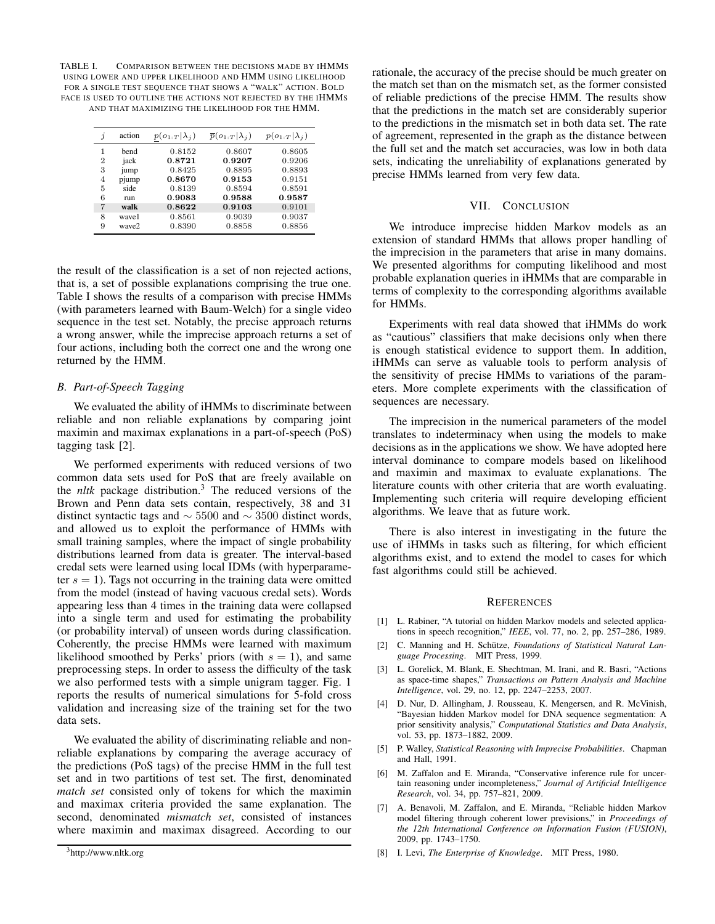TABLE I. COMPARISON BETWEEN THE DECISIONS MADE BY IHMMS USING LOWER AND UPPER LIKELIHOOD AND HMM USING LIKELIHOOD FOR A SINGLE TEST SEQUENCE THAT SHOWS A "WALK" ACTION. BOLD FACE IS USED TO OUTLINE THE ACTIONS NOT REJECTED BY THE IHMMS AND THAT MAXIMIZING THE LIKELIHOOD FOR THE HMM.

| j              | action | $p(o_{1:T} \lambda_i)$ | $\overline{p}(o_{1:T} \lambda_i)$ | $p(o_{1:T} \lambda_i)$ |
|----------------|--------|------------------------|-----------------------------------|------------------------|
| 1              | bend   | 0.8152                 | 0.8607                            | 0.8605                 |
| 2              | jack   | 0.8721                 | 0.9207                            | 0.9206                 |
| 3              | jump   | 0.8425                 | 0.8895                            | 0.8893                 |
| $\overline{4}$ | pjump  | 0.8670                 | 0.9153                            | 0.9151                 |
| 5              | side   | 0.8139                 | 0.8594                            | 0.8591                 |
| 6              | run    | 0.9083                 | 0.9588                            | 0.9587                 |
| 7              | walk   | 0.8622                 | 0.9103                            | 0.9101                 |
| 8              | wavel  | 0.8561                 | 0.9039                            | 0.9037                 |
| 9              | wave2  | 0.8390                 | 0.8858                            | 0.8856                 |

the result of the classification is a set of non rejected actions, that is, a set of possible explanations comprising the true one. Table I shows the results of a comparison with precise HMMs (with parameters learned with Baum-Welch) for a single video sequence in the test set. Notably, the precise approach returns a wrong answer, while the imprecise approach returns a set of four actions, including both the correct one and the wrong one returned by the HMM.

### *B. Part-of-Speech Tagging*

We evaluated the ability of iHMMs to discriminate between reliable and non reliable explanations by comparing joint maximin and maximax explanations in a part-of-speech (PoS) tagging task [2].

We performed experiments with reduced versions of two common data sets used for PoS that are freely available on the *nltk* package distribution.<sup>3</sup> The reduced versions of the Brown and Penn data sets contain, respectively, 38 and 31 distinct syntactic tags and  $\sim$  5500 and  $\sim$  3500 distinct words, and allowed us to exploit the performance of HMMs with small training samples, where the impact of single probability distributions learned from data is greater. The interval-based credal sets were learned using local IDMs (with hyperparameter  $s = 1$ ). Tags not occurring in the training data were omitted from the model (instead of having vacuous credal sets). Words appearing less than 4 times in the training data were collapsed into a single term and used for estimating the probability (or probability interval) of unseen words during classification. Coherently, the precise HMMs were learned with maximum likelihood smoothed by Perks' priors (with  $s = 1$ ), and same preprocessing steps. In order to assess the difficulty of the task we also performed tests with a simple unigram tagger. Fig. 1 reports the results of numerical simulations for 5-fold cross validation and increasing size of the training set for the two data sets.

We evaluated the ability of discriminating reliable and nonreliable explanations by comparing the average accuracy of the predictions (PoS tags) of the precise HMM in the full test set and in two partitions of test set. The first, denominated *match set* consisted only of tokens for which the maximin and maximax criteria provided the same explanation. The second, denominated *mismatch set*, consisted of instances where maximin and maximax disagreed. According to our

rationale, the accuracy of the precise should be much greater on the match set than on the mismatch set, as the former consisted of reliable predictions of the precise HMM. The results show that the predictions in the match set are considerably superior to the predictions in the mismatch set in both data set. The rate of agreement, represented in the graph as the distance between the full set and the match set accuracies, was low in both data sets, indicating the unreliability of explanations generated by precise HMMs learned from very few data.

## VII. CONCLUSION

We introduce imprecise hidden Markov models as an extension of standard HMMs that allows proper handling of the imprecision in the parameters that arise in many domains. We presented algorithms for computing likelihood and most probable explanation queries in iHMMs that are comparable in terms of complexity to the corresponding algorithms available for HMMs.

Experiments with real data showed that iHMMs do work as "cautious" classifiers that make decisions only when there is enough statistical evidence to support them. In addition, iHMMs can serve as valuable tools to perform analysis of the sensitivity of precise HMMs to variations of the parameters. More complete experiments with the classification of sequences are necessary.

The imprecision in the numerical parameters of the model translates to indeterminacy when using the models to make decisions as in the applications we show. We have adopted here interval dominance to compare models based on likelihood and maximin and maximax to evaluate explanations. The literature counts with other criteria that are worth evaluating. Implementing such criteria will require developing efficient algorithms. We leave that as future work.

There is also interest in investigating in the future the use of iHMMs in tasks such as filtering, for which efficient algorithms exist, and to extend the model to cases for which fast algorithms could still be achieved.

#### **REFERENCES**

- [1] L. Rabiner, "A tutorial on hidden Markov models and selected applications in speech recognition," *IEEE*, vol. 77, no. 2, pp. 257–286, 1989.
- [2] C. Manning and H. Schütze, *Foundations of Statistical Natural Language Processing*. MIT Press, 1999.
- [3] L. Gorelick, M. Blank, E. Shechtman, M. Irani, and R. Basri, "Actions as space-time shapes," *Transactions on Pattern Analysis and Machine Intelligence*, vol. 29, no. 12, pp. 2247–2253, 2007.
- [4] D. Nur, D. Allingham, J. Rousseau, K. Mengersen, and R. McVinish, "Bayesian hidden Markov model for DNA sequence segmentation: A prior sensitivity analysis," *Computational Statistics and Data Analysis*, vol. 53, pp. 1873–1882, 2009.
- [5] P. Walley, *Statistical Reasoning with Imprecise Probabilities*. Chapman and Hall, 1991.
- [6] M. Zaffalon and E. Miranda, "Conservative inference rule for uncertain reasoning under incompleteness," *Journal of Artificial Intelligence Research*, vol. 34, pp. 757–821, 2009.
- [7] A. Benavoli, M. Zaffalon, and E. Miranda, "Reliable hidden Markov model filtering through coherent lower previsions," in *Proceedings of the 12th International Conference on Information Fusion (FUSION)*, 2009, pp. 1743–1750.
- [8] I. Levi, *The Enterprise of Knowledge*. MIT Press, 1980.

<sup>3</sup>http://www.nltk.org